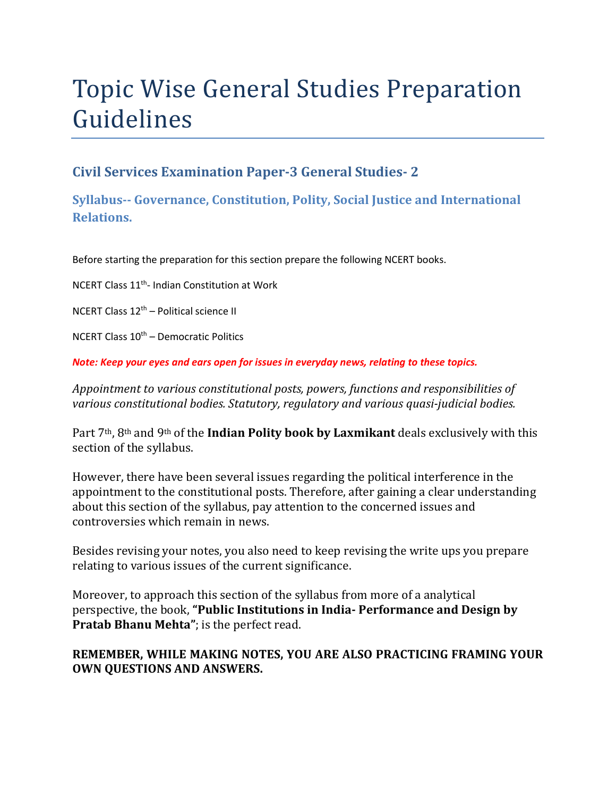# Topic Wise General Studies Preparation Guidelines

### **Civil Services Examination Paper-3 General Studies- 2**

**Syllabus-- Governance, Constitution, Polity, Social Justice and International Relations.** 

Before starting the preparation for this section prepare the following NCERT books.

NCERT Class 11<sup>th</sup>- Indian Constitution at Work

NCERT Class 12th – Political science II

NCERT Class 10th – Democratic Politics

*Note: Keep your eyes and ears open for issues in everyday news, relating to these topics.* 

*Appointment to various constitutional posts, powers, functions and responsibilities of various constitutional bodies. Statutory, regulatory and various quasi-judicial bodies.* 

Part 7th, 8th and 9th of the **Indian Polity book by Laxmikant** deals exclusively with this section of the syllabus.

However, there have been several issues regarding the political interference in the appointment to the constitutional posts. Therefore, after gaining a clear understanding about this section of the syllabus, pay attention to the concerned issues and controversies which remain in news.

Besides revising your notes, you also need to keep revising the write ups you prepare relating to various issues of the current significance.

Moreover, to approach this section of the syllabus from more of a analytical perspective, the book, **"Public Institutions in India- Performance and Design by Pratab Bhanu Mehta"**; is the perfect read.

#### **REMEMBER, WHILE MAKING NOTES, YOU ARE ALSO PRACTICING FRAMING YOUR OWN QUESTIONS AND ANSWERS.**